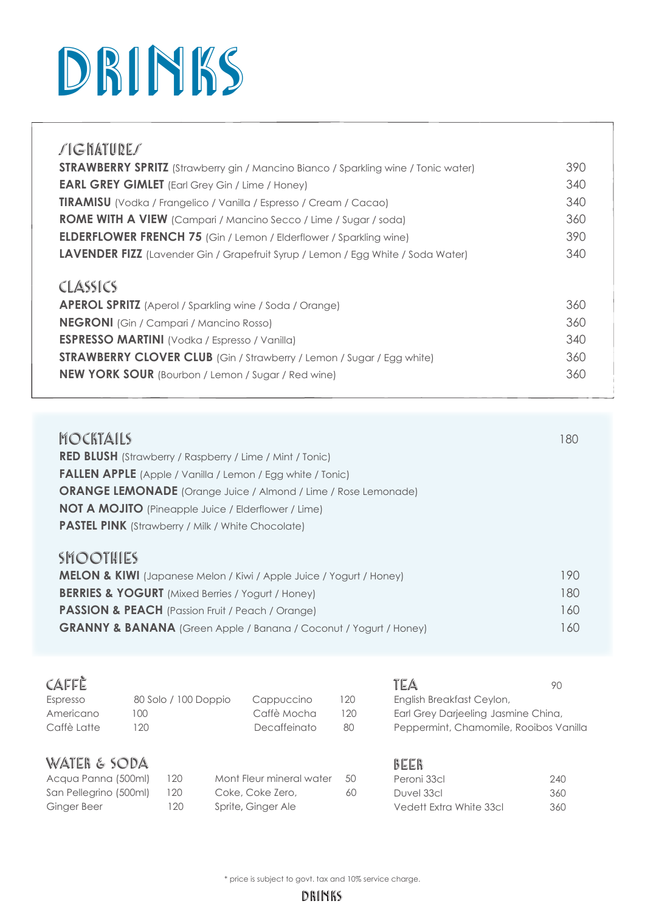## DRINKS

| <b><i>SIGNATURES</i></b>                                                                                                     |            |
|------------------------------------------------------------------------------------------------------------------------------|------------|
| <b>STRAWBERRY SPRITZ</b> (Strawberry gin / Mancino Bianco / Sparkling wine / Tonic water)                                    | 390        |
| <b>EARL GREY GIMLET</b> (Earl Grey Gin / Lime / Honey)                                                                       | 340        |
| <b>TIRAMISU</b> (Vodka / Frangelico / Vanilla / Espresso / Cream / Cacao)                                                    | 340        |
| <b>ROME WITH A VIEW</b> (Campari / Mancino Secco / Lime / Sugar / soda)                                                      | 360        |
| <b>ELDERFLOWER FRENCH 75</b> (Gin / Lemon / Elderflower / Sparkling wine)                                                    | 390        |
| LAVENDER FIZZ (Lavender Gin / Grapefruit Syrup / Lemon / Egg White / Soda Water)                                             | 340        |
| CLASSICS<br><b>APEROL SPRITZ</b> (Aperol / Sparkling wine / Soda / Orange)<br><b>NEGRONI</b> (Gin / Campari / Mancino Rosso) | 360<br>360 |
| <b>ESPRESSO MARTINI</b> (Vodka / Espresso / Vanilla)                                                                         | 340        |
| <b>STRAWBERRY CLOVER CLUB</b> (Gin / Strawberry / Lemon / Sugar / Egg white)                                                 | 360        |
| <b>NEW YORK SOUR</b> (Bourbon / Lemon / Sugar / Red wine)                                                                    | 360        |

| <b>MOCKTAILS</b><br><b>RED BLUSH</b> (Strawberry / Raspberry / Lime / Mint / Tonic)<br><b>FALLEN APPLE</b> (Apple / Vanilla / Lemon / Egg white / Tonic)<br><b>ORANGE LEMONADE</b> (Orange Juice / Almond / Lime / Rose Lemonade)<br><b>NOT A MOJITO</b> (Pineapple Juice / Elderflower / Lime)<br><b>PASTEL PINK</b> (Strawberry / Milk / White Chocolate) | 180 |
|-------------------------------------------------------------------------------------------------------------------------------------------------------------------------------------------------------------------------------------------------------------------------------------------------------------------------------------------------------------|-----|
| <b>SMOOTHIES</b>                                                                                                                                                                                                                                                                                                                                            |     |
| <b>MELON &amp; KIWI</b> (Japanese Melon / Kiwi / Apple Juice / Yogurt / Honey)                                                                                                                                                                                                                                                                              | 190 |
| <b>BERRIES &amp; YOGURT</b> (Mixed Berries / Yogurt / Honey)                                                                                                                                                                                                                                                                                                | 180 |
| <b>PASSION &amp; PEACH</b> (Passion Fruit / Peach / Orange)                                                                                                                                                                                                                                                                                                 | 160 |
| <b>GRANNY &amp; BANANA</b> (Green Apple / Banana / Coconut / Yogurt / Honey)                                                                                                                                                                                                                                                                                | 160 |

| CAFFÈ               |                      |                          |     | TEA                                    | 90  |
|---------------------|----------------------|--------------------------|-----|----------------------------------------|-----|
| Espresso            | 80 Solo / 100 Doppio | Cappuccino               | 120 | English Breakfast Ceylon,              |     |
| Americano           | 100                  | Caffè Mocha              | 120 | Earl Grey Darjeeling Jasmine China,    |     |
| Caffè Latte         | 120                  | Decaffeinato             | 80  | Peppermint, Chamomile, Rooibos Vanilla |     |
| WATER & SODA        |                      |                          |     | BEER                                   |     |
| Acqua Panna (500ml) | 120                  | Mont Fleur mineral water | 50  | Peroni 33cl                            | 240 |

|                        |     |                          |    | -----                   |     |
|------------------------|-----|--------------------------|----|-------------------------|-----|
| Acqua Panna (500ml)    | 120 | Mont Fleur mineral water | 50 | Peroni 33cl             | 240 |
| San Pellegrino (500ml) | 120 | Coke, Coke Zero,         | 60 | Duvel 33cl              | 360 |
| Ginger Beer            | 120 | Sprite, Ginger Ale       |    | Vedett Extra White 33cl | 360 |